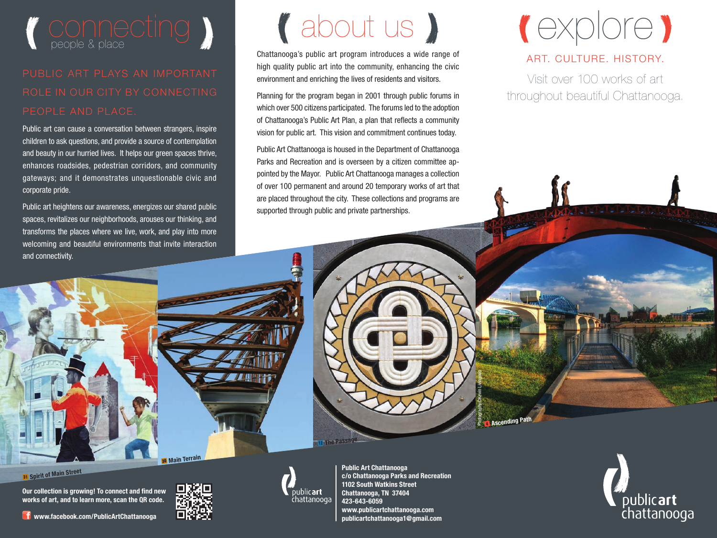

## ROLE IN OUR CITY BY CONNECTING PEOPLE AND PLACE.

Public art can cause a conversation between strangers, inspire children to ask questions, and provide a source of contemplation and beauty in our hurried lives. It helps our green spaces thrive, enhances roadsides, pedestrian corridors, and community gateways; and it demonstrates unquestionable civic and corporate pride.

Public art heightens our awareness, energizes our shared public spaces, revitalizes our neighborhoods, arouses our thinking, and transforms the places where we live, work, and play into more welcoming and beautiful environments that invite interaction and connectivity.

## about us

Chattanooga's public art program introduces a wide range of high quality public art into the community, enhancing the civic environment and enriching the lives of residents and visitors.

Planning for the program began in 2001 through public forums in which over 500 citizens participated. The forums led to the adoption of Chattanooga's Public Art Plan, a plan that reflects a community vision for public art. This vision and commitment continues today.

Public Art Chattanooga is housed in the Department of Chattanooga Parks and Recreation and is overseen by a citizen committee appointed by the Mayor. Public Art Chattanooga manages a collection of over 100 permanent and around 20 temporary works of art that are placed throughout the city. These collections and programs are supported through public and private partnerships.



#### ART. CULTURE. HISTORY.

Visit over 100 works of art throughout beautiful Chattanooga.





<sup>31</sup> **Spirit of Main Street**

**Our collection is growing! To connect and find new works of art, and to learn more, scan the QR code.** 

 **www.facebook.com/PublicArtChattanooga**



**Public Art Chattanooga c/o Chattanooga Parks and Recreation 1102 South Watkins Street Chattanooga, TN 37404 423-643-6059 www.publicartchattanooga.com publicartchattanooga1@gmail.com**

publicart

chattanooga

**12 The Passage 4 Ascending Path** 

Photography©Kevin Livingood